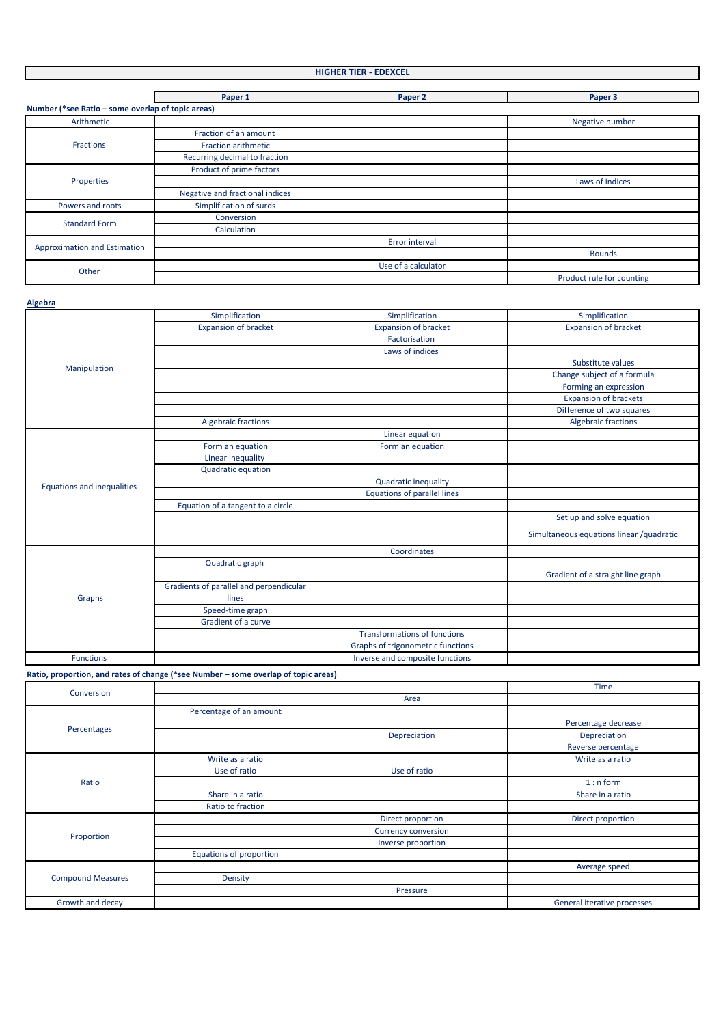#### **HIGHER TIER - EDEXCEL Paper 1 Paper 2 Paper 3** L **Number (\*see Ratio – some overlap of topic areas)**  Arithmetic **Negative number** and the set of the set of the set of the set of the set of the set of the set of the set of the set of the set of the set of the set of the set of the set of the set of the set of the set of th Fraction of an amount Fractions Fraction arithmetic Recurring decimal to fraction Product of prime factors Properties Laws of indices Negative and fractional indices Powers and roots Simplification of surds Conversion Standard Form Calculation Error interval Approximation and Estimation Bounds Use of a calculator Other Product rule for counting

**Algebra**

|                                   | Simplification                          | Simplification                      | Simplification                           |
|-----------------------------------|-----------------------------------------|-------------------------------------|------------------------------------------|
|                                   | <b>Expansion of bracket</b>             | <b>Expansion of bracket</b>         | <b>Expansion of bracket</b>              |
|                                   |                                         | Factorisation                       |                                          |
|                                   |                                         | Laws of indices                     |                                          |
|                                   |                                         |                                     | Substitute values                        |
| Manipulation                      |                                         |                                     | Change subject of a formula              |
|                                   |                                         |                                     | Forming an expression                    |
|                                   |                                         |                                     | <b>Expansion of brackets</b>             |
|                                   |                                         |                                     | Difference of two squares                |
|                                   | <b>Algebraic fractions</b>              |                                     | <b>Algebraic fractions</b>               |
|                                   |                                         | Linear equation                     |                                          |
|                                   | Form an equation                        | Form an equation                    |                                          |
|                                   | Linear inequality                       |                                     |                                          |
|                                   | <b>Quadratic equation</b>               |                                     |                                          |
| <b>Equations and inequalities</b> |                                         | <b>Quadratic inequality</b>         |                                          |
|                                   |                                         | <b>Equations of parallel lines</b>  |                                          |
|                                   | Equation of a tangent to a circle       |                                     |                                          |
|                                   |                                         |                                     | Set up and solve equation                |
|                                   |                                         |                                     | Simultaneous equations linear /quadratic |
| Graphs                            |                                         | Coordinates                         |                                          |
|                                   | Quadratic graph                         |                                     |                                          |
|                                   |                                         |                                     | Gradient of a straight line graph        |
|                                   | Gradients of parallel and perpendicular |                                     |                                          |
|                                   | lines                                   |                                     |                                          |
|                                   | Speed-time graph                        |                                     |                                          |
|                                   | Gradient of a curve                     |                                     |                                          |
|                                   |                                         | <b>Transformations of functions</b> |                                          |
|                                   |                                         | Graphs of trigonometric functions   |                                          |
| <b>Functions</b>                  |                                         | Inverse and composite functions     |                                          |

**Ratio, proportion, and rates of change (\*see Number – some overlap of topic areas)**

| Conversion               |                         |                                                                                       | <b>Time</b>                 |
|--------------------------|-------------------------|---------------------------------------------------------------------------------------|-----------------------------|
|                          |                         | Area                                                                                  |                             |
|                          | Percentage of an amount |                                                                                       |                             |
|                          |                         |                                                                                       | Percentage decrease         |
| Percentages              |                         | Depreciation                                                                          | Depreciation                |
|                          |                         | Use of ratio<br>Direct proportion<br><b>Currency conversion</b><br>Inverse proportion | Reverse percentage          |
|                          | Write as a ratio        |                                                                                       | Write as a ratio            |
|                          | Use of ratio            |                                                                                       |                             |
| Ratio                    |                         |                                                                                       | $1: n$ form                 |
|                          | Share in a ratio        |                                                                                       | Share in a ratio            |
|                          | Ratio to fraction       |                                                                                       |                             |
| Proportion               |                         |                                                                                       | Direct proportion           |
|                          |                         |                                                                                       |                             |
|                          |                         |                                                                                       |                             |
|                          | Equations of proportion |                                                                                       |                             |
| <b>Compound Measures</b> |                         |                                                                                       | Average speed               |
|                          | Density                 |                                                                                       |                             |
|                          |                         | Pressure                                                                              |                             |
| Growth and decay         |                         |                                                                                       | General iterative processes |